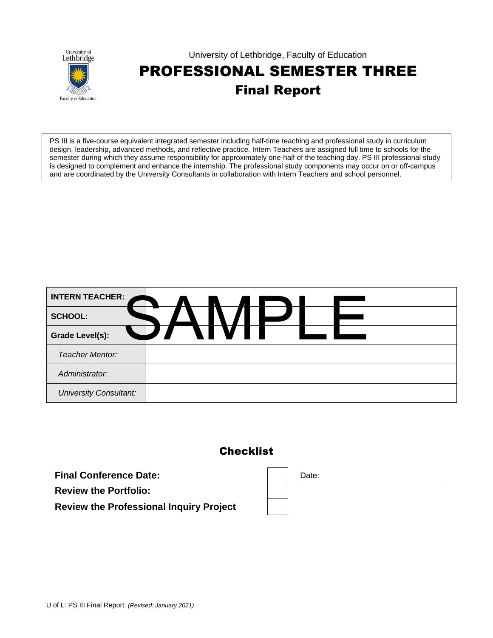

#### University of Lethbridge, Faculty of Education PROFESSIONAL SEMESTER THREE Final Report

PS III is a five-course equivalent integrated semester including half-time teaching and professional study in curriculum design, leadership, advanced methods, and reflective practice. Intern Teachers are assigned full time to schools for the semester during which they assume responsibility for approximately one-half of the teaching day. PS III professional study is designed to complement and enhance the internship. The professional study components may occur on or off-campus and are coordinated by the University Consultants in collaboration with Intern Teachers and school personnel.

| <b>INTERN TEACHER:</b>        |              |     |  |  |
|-------------------------------|--------------|-----|--|--|
| <b>SCHOOL:</b>                |              |     |  |  |
| <b>Grade Level(s):</b>        | $\mathbf{L}$ | M I |  |  |
| <b>Teacher Mentor:</b>        |              |     |  |  |
| Administrator:                |              |     |  |  |
| <b>University Consultant:</b> |              |     |  |  |

#### **Checklist**

**Final Conference Date:**  $\qquad \qquad$  **Date: Review the Portfolio: Review the Professional Inquiry Project**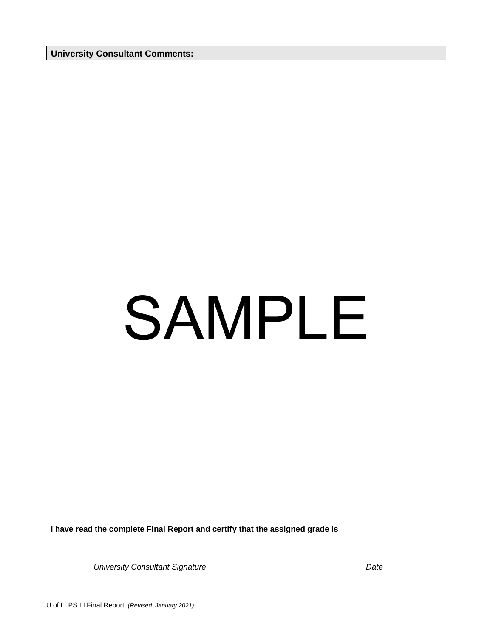**University Consultant Comments:** 

#### SAMPLE

**I have read the complete Final Report and certify that the assigned grade is**

*University Consultant Signature Date*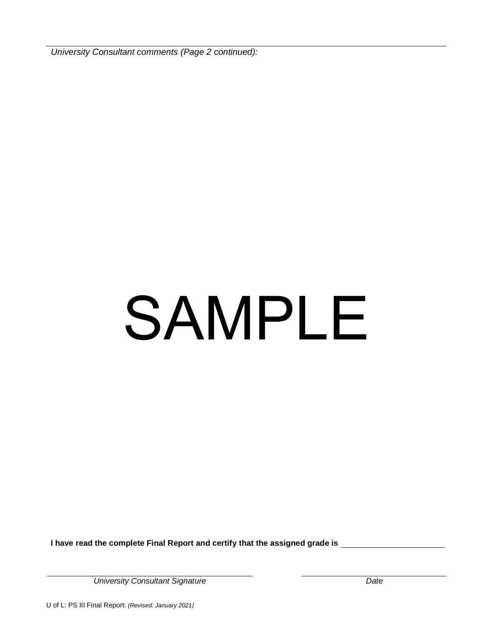*University Consultant comments (Page 2 continued):*

# SAMPLE

**I have read the complete Final Report and certify that the assigned grade is**

*University Consultant Signature Date*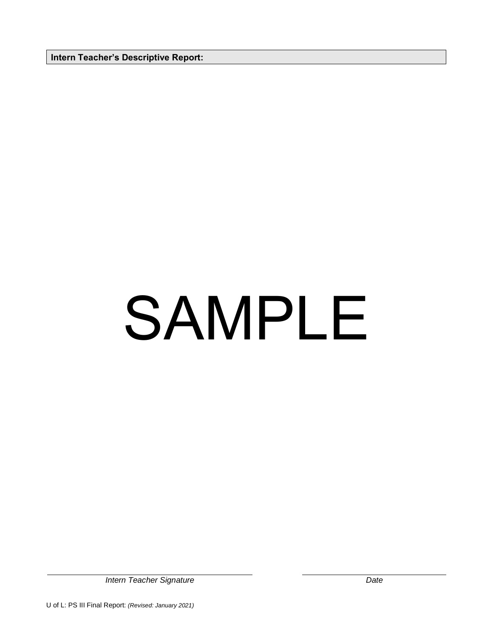**Intern Teacher's Descriptive Report:** 

# SAMPLE

*Intern Teacher Signature Date*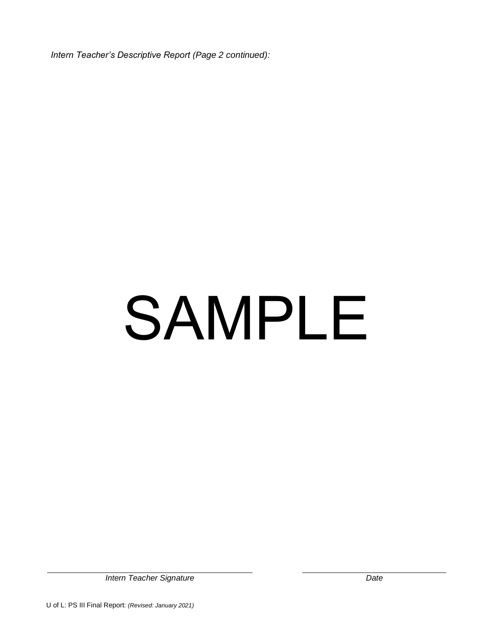*Intern Teacher's Descriptive Report (Page 2 continued):*

# SAMPLE

*Intern Teacher Signature Date*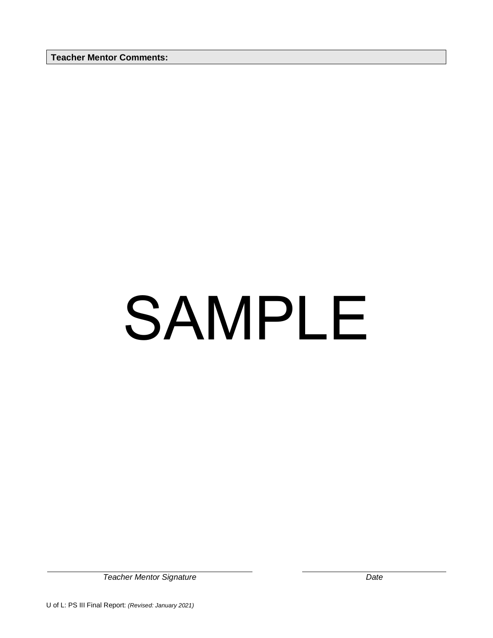**Teacher Mentor Comments:** 

# SAMPLE

*Teacher Mentor Signature Date*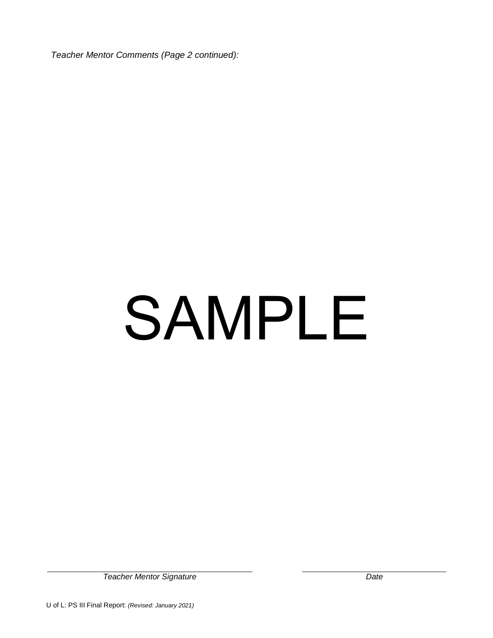*Teacher Mentor Comments (Page 2 continued):*

# SAMPLE

*Teacher Mentor Signature Date*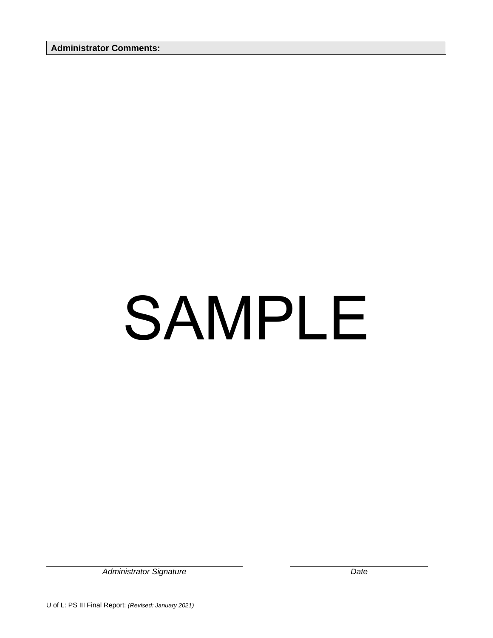**Administrator Comments:** 

# SAMPLE

*Administrator Signature Date*